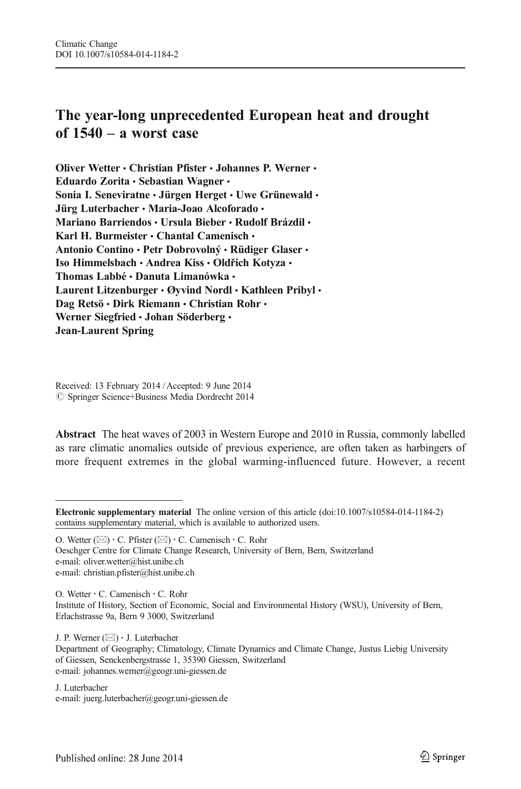# The year-long unprecedented European heat and drought of 1540 – a worst case

Oliver Wetter • Christian Pfister • Johannes P. Werner • Eduardo Zorita · Sebastian Wagner · Sonia I. Seneviratne · Jürgen Herget · Uwe Grünewald · Jürg Luterbacher · Maria-Joao Alcoforado · Mariano Barriendos · Ursula Bieber · Rudolf Brázdil · Karl H. Burmeister  $\cdot$  Chantal Camenisch  $\cdot$ Antonio Contino · Petr Dobrovolný · Rüdiger Glaser · Iso Himmelsbach · Andrea Kiss · Oldřich Kotyza · Thomas Labbé • Danuta Limanówka • Laurent Litzenburger · Øyvind Nordl · Kathleen Pribyl · Dag Retsö · Dirk Riemann · Christian Rohr · Werner Siegfried · Johan Söderberg · Jean-Laurent Spring

Received: 13 February 2014 /Accepted: 9 June 2014  $\oslash$  Springer Science+Business Media Dordrecht 2014

Abstract The heat waves of 2003 in Western Europe and 2010 in Russia, commonly labelled as rare climatic anomalies outside of previous experience, are often taken as harbingers of more frequent extremes in the global warming-influenced future. However, a recent

O. Wetter  $(\boxtimes) \cdot C$ . Pfister  $(\boxtimes) \cdot C$ . Camenisch  $\cdot C$ . Rohr Oeschger Centre for Climate Change Research, University of Bern, Bern, Switzerland e-mail: oliver.wetter@hist.unibe.ch e-mail: christian.pfister@hist.unibe.ch

O. Wetter : C. Camenisch : C. Rohr Institute of History, Section of Economic, Social and Environmental History (WSU), University of Bern, Erlachstrasse 9a, Bern 9 3000, Switzerland

J. P. Werner  $(\boxtimes) \cdot$  J. Luterbacher

Department of Geography; Climatology, Climate Dynamics and Climate Change, Justus Liebig University of Giessen, Senckenbergstrasse 1, 35390 Giessen, Switzerland e-mail: johannes.werner@geogr.uni-giessen.de

J. Luterbacher e-mail: juerg.luterbacher@geogr.uni-giessen.de

Electronic supplementary material The online version of this article (doi:[10.1007/s10584-014-1184-2](http://dx.doi.org/10.1007/s10584-014-1184-2)) contains supplementary material, which is available to authorized users.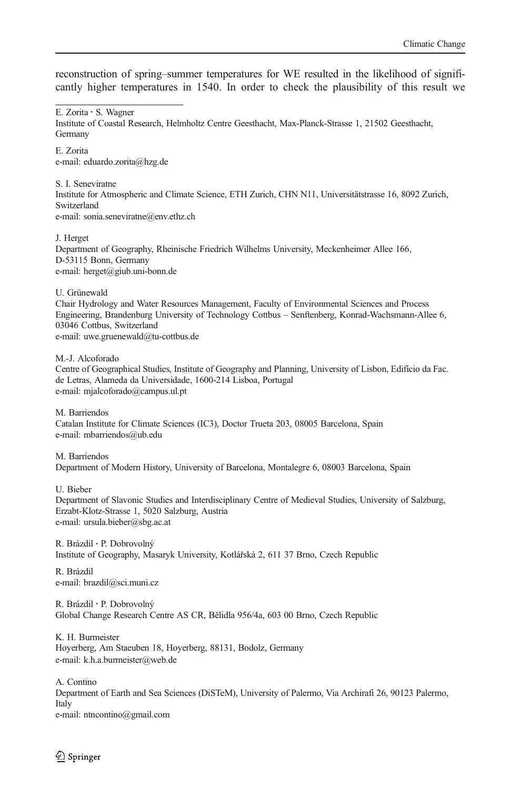reconstruction of spring–summer temperatures for WE resulted in the likelihood of significantly higher temperatures in 1540. In order to check the plausibility of this result we

E. Zorita : S. Wagner

Institute of Coastal Research, Helmholtz Centre Geesthacht, Max-Planck-Strasse 1, 21502 Geesthacht, Germany

E. Zorita e-mail: eduardo.zorita@hzg.de

S. I. Seneviratne Institute for Atmospheric and Climate Science, ETH Zurich, CHN N11, Universitätstrasse 16, 8092 Zurich, Switzerland e-mail: sonia.seneviratne@env.ethz.ch

J. Herget Department of Geography, Rheinische Friedrich Wilhelms University, Meckenheimer Allee 166, D-53115 Bonn, Germany e-mail: herget@giub.uni-bonn.de

U. Grünewald

Chair Hydrology and Water Resources Management, Faculty of Environmental Sciences and Process Engineering, Brandenburg University of Technology Cottbus – Senftenberg, Konrad-Wachsmann-Allee 6, 03046 Cottbus, Switzerland e-mail: uwe.gruenewald@tu-cottbus.de

M.<J. Alcoforado

Centre of Geographical Studies, Institute of Geography and Planning, University of Lisbon, Edifício da Fac. de Letras, Alameda da Universidade, 1600-214 Lisboa, Portugal e-mail: mjalcoforado@campus.ul.pt

M. Barriendos Catalan Institute for Climate Sciences (IC3), Doctor Trueta 203, 08005 Barcelona, Spain e-mail: mbarriendos@ub.edu

M. Barriendos Department of Modern History, University of Barcelona, Montalegre 6, 08003 Barcelona, Spain

U. Bieber

Department of Slavonic Studies and Interdisciplinary Centre of Medieval Studies, University of Salzburg, Erzabt-Klotz-Strasse 1, 5020 Salzburg, Austria e-mail: ursula.bieber@sbg.ac.at

R. Brázdil : P. Dobrovolný Institute of Geography, Masaryk University, Kotlářská 2, 611 37 Brno, Czech Republic

R. Brázdil e-mail: brazdil@sci.muni.cz

R. Brázdil : P. Dobrovolný Global Change Research Centre AS CR, Bĕlidla 956/4a, 603 00 Brno, Czech Republic

K. H. Burmeister Hoyerberg, Am Staeuben 18, Hoyerberg, 88131, Bodolz, Germany e-mail: k.h.a.burmeister@web.de

A. Contino Department of Earth and Sea Sciences (DiSTeM), University of Palermo, Via Archirafi 26, 90123 Palermo, Italy e-mail: ntncontino@gmail.com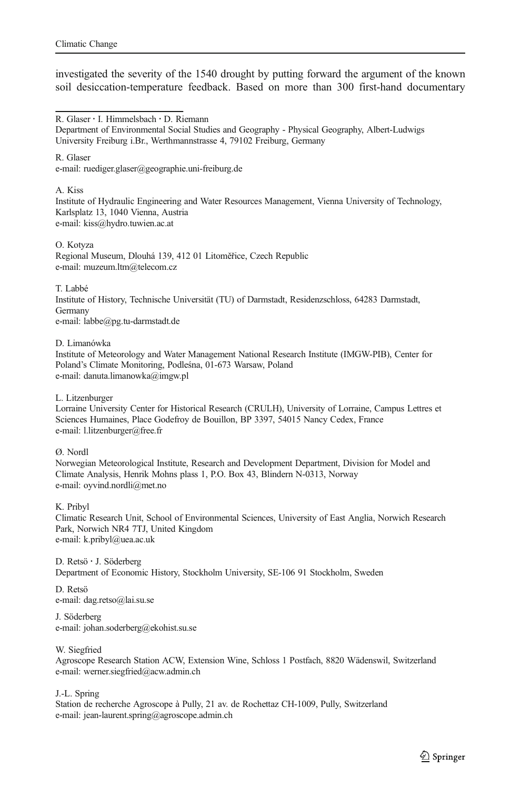investigated the severity of the 1540 drought by putting forward the argument of the known soil desiccation-temperature feedback. Based on more than 300 first-hand documentary

R. Glaser : I. Himmelsbach : D. Riemann

R. Glaser

e-mail: ruediger.glaser@geographie.uni-freiburg.de

A. Kiss

Institute of Hydraulic Engineering and Water Resources Management, Vienna University of Technology, Karlsplatz 13, 1040 Vienna, Austria e-mail: kiss@hydro.tuwien.ac.at

O. Kotyza

Regional Museum, Dlouhá 139, 412 01 Litoměřice, Czech Republic e-mail: muzeum.ltm@telecom.cz

T. Labbé

Institute of History, Technische Universität (TU) of Darmstadt, Residenzschloss, 64283 Darmstadt, Germany e-mail: labbe@pg.tu-darmstadt.de

D. Limanówka

Institute of Meteorology and Water Management National Research Institute (IMGW-PIB), Center for Poland's Climate Monitoring, Podleśna, 01-673 Warsaw, Poland e-mail: danuta.limanowka@imgw.pl

L. Litzenburger

Lorraine University Center for Historical Research (CRULH), University of Lorraine, Campus Lettres et Sciences Humaines, Place Godefroy de Bouillon, BP 3397, 54015 Nancy Cedex, France e-mail: l.litzenburger@free.fr

Ø. Nordl

Norwegian Meteorological Institute, Research and Development Department, Division for Model and Climate Analysis, Henrik Mohns plass 1, P.O. Box 43, Blindern N-0313, Norway e-mail: oyvind.nordli@met.no

K. Pribyl

Climatic Research Unit, School of Environmental Sciences, University of East Anglia, Norwich Research Park, Norwich NR4 7TJ, United Kingdom e-mail: k.pribyl@uea.ac.uk

D. Retsö : J. Söderberg Department of Economic History, Stockholm University, SE-106 91 Stockholm, Sweden

D. Retsö e-mail: dag.retso@lai.su.se

J. Söderberg e-mail: johan.soderberg@ekohist.su.se

W. Siegfried

Agroscope Research Station ACW, Extension Wine, Schloss 1 Postfach, 8820 Wädenswil, Switzerland e-mail: werner.siegfried@acw.admin.ch

J.<L. Spring

Station de recherche Agroscope à Pully, 21 av. de Rochettaz CH-1009, Pully, Switzerland e-mail: jean-laurent.spring@agroscope.admin.ch

Department of Environmental Social Studies and Geography - Physical Geography, Albert-Ludwigs University Freiburg i.Br., Werthmannstrasse 4, 79102 Freiburg, Germany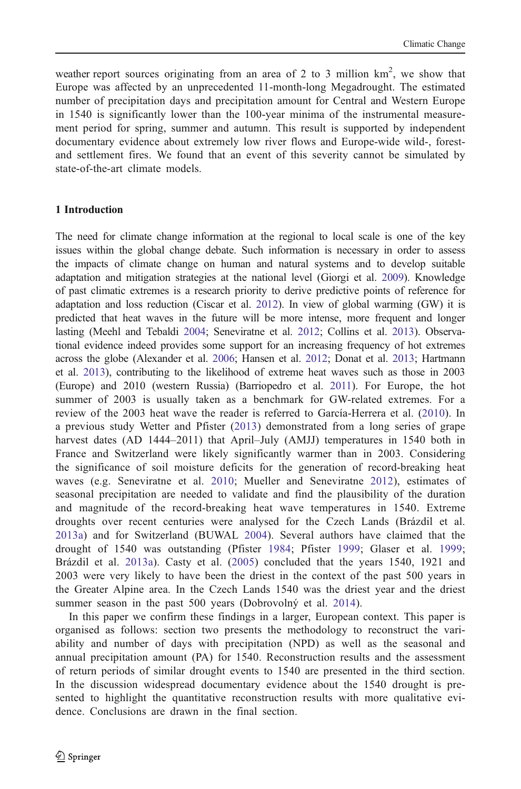weather report sources originating from an area of 2 to 3 million  $km^2$ , we show that Europe was affected by an unprecedented 11-month-long Megadrought. The estimated number of precipitation days and precipitation amount for Central and Western Europe in 1540 is significantly lower than the 100-year minima of the instrumental measurement period for spring, summer and autumn. This result is supported by independent documentary evidence about extremely low river flows and Europe-wide wild-, forestand settlement fires. We found that an event of this severity cannot be simulated by state-of-the-art climate models.

#### 1 Introduction

The need for climate change information at the regional to local scale is one of the key issues within the global change debate. Such information is necessary in order to assess the impacts of climate change on human and natural systems and to develop suitable adaptation and mitigation strategies at the national level (Giorgi et al. [2009\)](#page-13-0). Knowledge of past climatic extremes is a research priority to derive predictive points of reference for adaptation and loss reduction (Ciscar et al. [2012\)](#page-12-0). In view of global warming (GW) it is predicted that heat waves in the future will be more intense, more frequent and longer lasting (Meehl and Tebaldi [2004;](#page-13-0) Seneviratne et al. [2012;](#page-14-0) Collins et al. [2013\)](#page-12-0). Observational evidence indeed provides some support for an increasing frequency of hot extremes across the globe (Alexander et al. [2006;](#page-12-0) Hansen et al. [2012](#page-13-0); Donat et al. [2013;](#page-13-0) Hartmann et al. [2013\)](#page-13-0), contributing to the likelihood of extreme heat waves such as those in 2003 (Europe) and 2010 (western Russia) (Barriopedro et al. [2011\)](#page-12-0). For Europe, the hot summer of 2003 is usually taken as a benchmark for GW-related extremes. For a review of the 2003 heat wave the reader is referred to García-Herrera et al. [\(2010](#page-13-0)). In a previous study Wetter and Pfister ([2013](#page-14-0)) demonstrated from a long series of grape harvest dates (AD 1444–2011) that April–July (AMJJ) temperatures in 1540 both in France and Switzerland were likely significantly warmer than in 2003. Considering the significance of soil moisture deficits for the generation of record-breaking heat waves (e.g. Seneviratne et al. [2010;](#page-14-0) Mueller and Seneviratne [2012\)](#page-13-0), estimates of seasonal precipitation are needed to validate and find the plausibility of the duration and magnitude of the record-breaking heat wave temperatures in 1540. Extreme droughts over recent centuries were analysed for the Czech Lands (Brázdil et al. [2013a](#page-12-0)) and for Switzerland (BUWAL [2004\)](#page-12-0). Several authors have claimed that the drought of 1540 was outstanding (Pfister [1984;](#page-14-0) Pfister [1999;](#page-14-0) Glaser et al. [1999](#page-13-0); Brázdil et al. [2013a](#page-12-0)). Casty et al. ([2005\)](#page-12-0) concluded that the years 1540, 1921 and 2003 were very likely to have been the driest in the context of the past 500 years in the Greater Alpine area. In the Czech Lands 1540 was the driest year and the driest summer season in the past 500 years (Dobrovolný et al. [2014](#page-13-0)).

In this paper we confirm these findings in a larger, European context. This paper is organised as follows: section two presents the methodology to reconstruct the variability and number of days with precipitation (NPD) as well as the seasonal and annual precipitation amount (PA) for 1540. Reconstruction results and the assessment of return periods of similar drought events to 1540 are presented in the third section. In the discussion widespread documentary evidence about the 1540 drought is presented to highlight the quantitative reconstruction results with more qualitative evidence. Conclusions are drawn in the final section.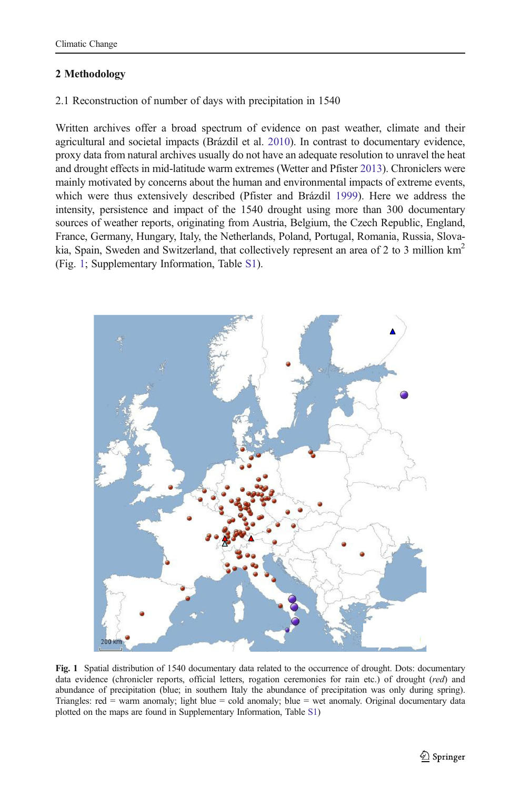# <span id="page-4-0"></span>2 Methodology

# 2.1 Reconstruction of number of days with precipitation in 1540

Written archives offer a broad spectrum of evidence on past weather, climate and their agricultural and societal impacts (Brázdil et al. [2010\)](#page-12-0). In contrast to documentary evidence, proxy data from natural archives usually do not have an adequate resolution to unravel the heat and drought effects in mid-latitude warm extremes (Wetter and Pfister [2013\)](#page-14-0). Chroniclers were mainly motivated by concerns about the human and environmental impacts of extreme events, which were thus extensively described (Pfister and Brázdil [1999\)](#page-14-0). Here we address the intensity, persistence and impact of the 1540 drought using more than 300 documentary sources of weather reports, originating from Austria, Belgium, the Czech Republic, England, France, Germany, Hungary, Italy, the Netherlands, Poland, Portugal, Romania, Russia, Slovakia, Spain, Sweden and Switzerland, that collectively represent an area of 2 to 3 million  $km^2$ (Fig. 1; Supplementary Information, Table S1).



Fig. 1 Spatial distribution of 1540 documentary data related to the occurrence of drought. Dots: documentary data evidence (chronicler reports, official letters, rogation ceremonies for rain etc.) of drought (red) and abundance of precipitation (blue; in southern Italy the abundance of precipitation was only during spring). Triangles: red = warm anomaly; light blue = cold anomaly; blue = wet anomaly. Original documentary data plotted on the maps are found in Supplementary Information, Table S1)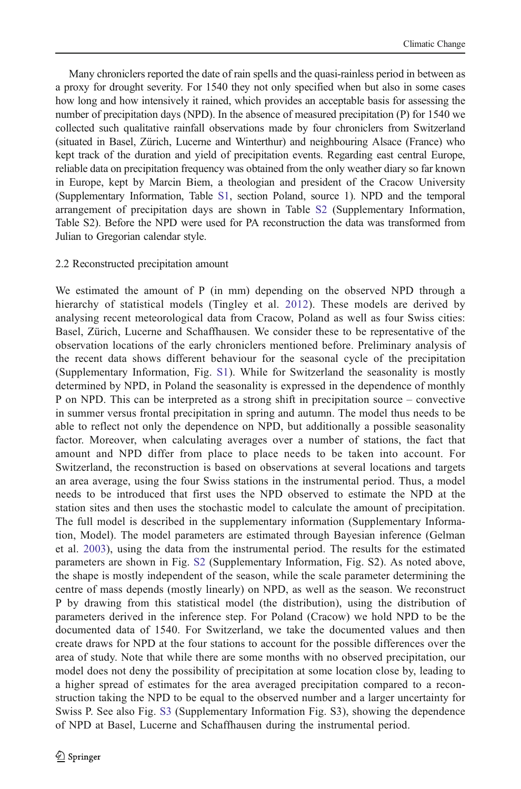Many chroniclers reported the date of rain spells and the quasi-rainless period in between as a proxy for drought severity. For 1540 they not only specified when but also in some cases how long and how intensively it rained, which provides an acceptable basis for assessing the number of precipitation days (NPD). In the absence of measured precipitation (P) for 1540 we collected such qualitative rainfall observations made by four chroniclers from Switzerland (situated in Basel, Zürich, Lucerne and Winterthur) and neighbouring Alsace (France) who kept track of the duration and yield of precipitation events. Regarding east central Europe, reliable data on precipitation frequency was obtained from the only weather diary so far known in Europe, kept by Marcin Biem, a theologian and president of the Cracow University (Supplementary Information, Table S1, section Poland, source 1). NPD and the temporal arrangement of precipitation days are shown in Table S2 (Supplementary Information, Table S2). Before the NPD were used for PA reconstruction the data was transformed from Julian to Gregorian calendar style.

### 2.2 Reconstructed precipitation amount

We estimated the amount of P (in mm) depending on the observed NPD through a hierarchy of statistical models (Tingley et al. [2012](#page-14-0)). These models are derived by analysing recent meteorological data from Cracow, Poland as well as four Swiss cities: Basel, Zürich, Lucerne and Schaffhausen. We consider these to be representative of the observation locations of the early chroniclers mentioned before. Preliminary analysis of the recent data shows different behaviour for the seasonal cycle of the precipitation (Supplementary Information, Fig. S1). While for Switzerland the seasonality is mostly determined by NPD, in Poland the seasonality is expressed in the dependence of monthly P on NPD. This can be interpreted as a strong shift in precipitation source – convective in summer versus frontal precipitation in spring and autumn. The model thus needs to be able to reflect not only the dependence on NPD, but additionally a possible seasonality factor. Moreover, when calculating averages over a number of stations, the fact that amount and NPD differ from place to place needs to be taken into account. For Switzerland, the reconstruction is based on observations at several locations and targets an area average, using the four Swiss stations in the instrumental period. Thus, a model needs to be introduced that first uses the NPD observed to estimate the NPD at the station sites and then uses the stochastic model to calculate the amount of precipitation. The full model is described in the supplementary information (Supplementary Information, Model). The model parameters are estimated through Bayesian inference (Gelman et al. [2003\)](#page-13-0), using the data from the instrumental period. The results for the estimated parameters are shown in Fig. S2 (Supplementary Information, Fig. S2). As noted above, the shape is mostly independent of the season, while the scale parameter determining the centre of mass depends (mostly linearly) on NPD, as well as the season. We reconstruct P by drawing from this statistical model (the distribution), using the distribution of parameters derived in the inference step. For Poland (Cracow) we hold NPD to be the documented data of 1540. For Switzerland, we take the documented values and then create draws for NPD at the four stations to account for the possible differences over the area of study. Note that while there are some months with no observed precipitation, our model does not deny the possibility of precipitation at some location close by, leading to a higher spread of estimates for the area averaged precipitation compared to a reconstruction taking the NPD to be equal to the observed number and a larger uncertainty for Swiss P. See also Fig. S3 (Supplementary Information Fig. S3), showing the dependence of NPD at Basel, Lucerne and Schaffhausen during the instrumental period.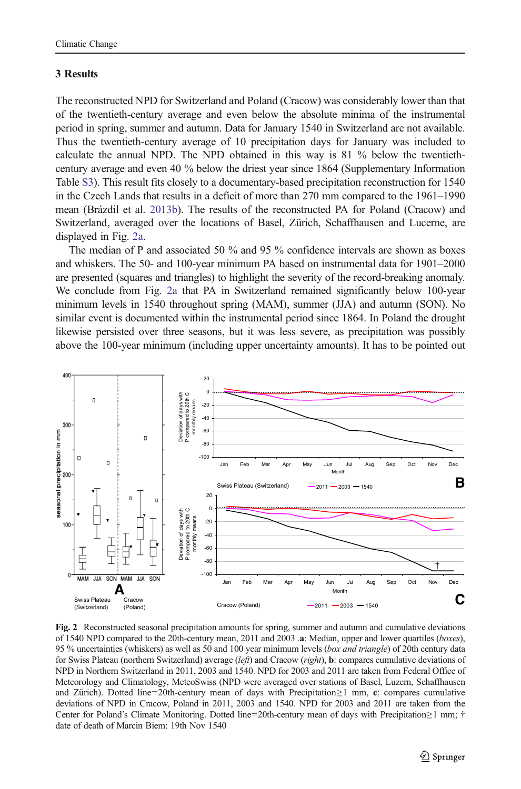## <span id="page-6-0"></span>3 Results

The reconstructed NPD for Switzerland and Poland (Cracow) was considerably lower than that of the twentieth-century average and even below the absolute minima of the instrumental period in spring, summer and autumn. Data for January 1540 in Switzerland are not available. Thus the twentieth-century average of 10 precipitation days for January was included to calculate the annual NPD. The NPD obtained in this way is 81 % below the twentiethcentury average and even 40 % below the driest year since 1864 (Supplementary Information Table S3). This result fits closely to a documentary-based precipitation reconstruction for 1540 in the Czech Lands that results in a deficit of more than 270 mm compared to the 1961–1990 mean (Brázdil et al. [2013b\)](#page-12-0). The results of the reconstructed PA for Poland (Cracow) and Switzerland, averaged over the locations of Basel, Zürich, Schaffhausen and Lucerne, are displayed in Fig. 2a.

The median of P and associated 50 % and 95 % confidence intervals are shown as boxes and whiskers. The 50- and 100-year minimum PA based on instrumental data for 1901–2000 are presented (squares and triangles) to highlight the severity of the record-breaking anomaly. We conclude from Fig. 2a that PA in Switzerland remained significantly below 100-year minimum levels in 1540 throughout spring (MAM), summer (JJA) and autumn (SON). No similar event is documented within the instrumental period since 1864. In Poland the drought likewise persisted over three seasons, but it was less severe, as precipitation was possibly above the 100-year minimum (including upper uncertainty amounts). It has to be pointed out



Fig. 2 Reconstructed seasonal precipitation amounts for spring, summer and autumn and cumulative deviations of 1540 NPD compared to the 20th-century mean, 2011 and 2003 .a: Median, upper and lower quartiles (boxes), 95 % uncertainties (whiskers) as well as 50 and 100 year minimum levels (box and triangle) of 20th century data for Swiss Plateau (northern Switzerland) average (left) and Cracow (right), b: compares cumulative deviations of NPD in Northern Switzerland in 2011, 2003 and 1540. NPD for 2003 and 2011 are taken from Federal Office of Meteorology and Climatology, MeteoSwiss (NPD were averaged over stations of Basel, Luzern, Schaffhausen and Zürich). Dotted line=20th-century mean of days with Precipitation≥1 mm, c: compares cumulative deviations of NPD in Cracow, Poland in 2011, 2003 and 1540. NPD for 2003 and 2011 are taken from the Center for Poland's Climate Monitoring. Dotted line=20th-century mean of days with Precipitation≥1 mm; † date of death of Marcin Biem: 19th Nov 1540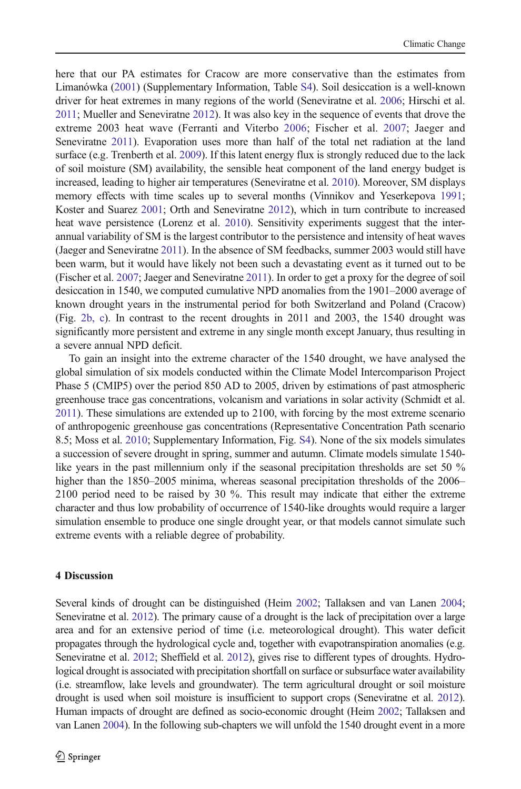here that our PA estimates for Cracow are more conservative than the estimates from Limanówka [\(2001](#page-13-0)) (Supplementary Information, Table S4). Soil desiccation is a well-known driver for heat extremes in many regions of the world (Seneviratne et al. [2006](#page-14-0); Hirschi et al. [2011;](#page-13-0) Mueller and Seneviratne [2012](#page-13-0)). It was also key in the sequence of events that drove the extreme 2003 heat wave (Ferranti and Viterbo [2006;](#page-13-0) Fischer et al. [2007;](#page-13-0) Jaeger and Seneviratne [2011](#page-13-0)). Evaporation uses more than half of the total net radiation at the land surface (e.g. Trenberth et al. [2009\)](#page-14-0). If this latent energy flux is strongly reduced due to the lack of soil moisture (SM) availability, the sensible heat component of the land energy budget is increased, leading to higher air temperatures (Seneviratne et al. [2010\)](#page-14-0). Moreover, SM displays memory effects with time scales up to several months (Vinnikov and Yeserkepova [1991](#page-14-0); Koster and Suarez [2001;](#page-13-0) Orth and Seneviratne [2012\)](#page-14-0), which in turn contribute to increased heat wave persistence (Lorenz et al. [2010](#page-13-0)). Sensitivity experiments suggest that the interannual variability of SM is the largest contributor to the persistence and intensity of heat waves (Jaeger and Seneviratne [2011](#page-13-0)). In the absence of SM feedbacks, summer 2003 would still have been warm, but it would have likely not been such a devastating event as it turned out to be (Fischer et al. [2007;](#page-13-0) Jaeger and Seneviratne [2011\)](#page-13-0). In order to get a proxy for the degree of soil desiccation in 1540, we computed cumulative NPD anomalies from the 1901–2000 average of known drought years in the instrumental period for both Switzerland and Poland (Cracow) (Fig. [2b, c](#page-6-0)). In contrast to the recent droughts in 2011 and 2003, the 1540 drought was significantly more persistent and extreme in any single month except January, thus resulting in a severe annual NPD deficit.

To gain an insight into the extreme character of the 1540 drought, we have analysed the global simulation of six models conducted within the Climate Model Intercomparison Project Phase 5 (CMIP5) over the period 850 AD to 2005, driven by estimations of past atmospheric greenhouse trace gas concentrations, volcanism and variations in solar activity (Schmidt et al. [2011\)](#page-14-0). These simulations are extended up to 2100, with forcing by the most extreme scenario of anthropogenic greenhouse gas concentrations (Representative Concentration Path scenario 8.5; Moss et al. [2010](#page-13-0); Supplementary Information, Fig. S4). None of the six models simulates a succession of severe drought in spring, summer and autumn. Climate models simulate 1540 like years in the past millennium only if the seasonal precipitation thresholds are set 50 % higher than the 1850–2005 minima, whereas seasonal precipitation thresholds of the 2006– 2100 period need to be raised by 30 %. This result may indicate that either the extreme character and thus low probability of occurrence of 1540-like droughts would require a larger simulation ensemble to produce one single drought year, or that models cannot simulate such extreme events with a reliable degree of probability.

#### 4 Discussion

Several kinds of drought can be distinguished (Heim [2002;](#page-13-0) Tallaksen and van Lanen [2004](#page-14-0); Seneviratne et al. [2012](#page-14-0)). The primary cause of a drought is the lack of precipitation over a large area and for an extensive period of time (i.e. meteorological drought). This water deficit propagates through the hydrological cycle and, together with evapotranspiration anomalies (e.g. Seneviratne et al. [2012;](#page-14-0) Sheffield et al. [2012\)](#page-14-0), gives rise to different types of droughts. Hydrological drought is associated with precipitation shortfall on surface or subsurface water availability (i.e. streamflow, lake levels and groundwater). The term agricultural drought or soil moisture drought is used when soil moisture is insufficient to support crops (Seneviratne et al. [2012](#page-14-0)). Human impacts of drought are defined as socio-economic drought (Heim [2002;](#page-13-0) Tallaksen and van Lanen [2004\)](#page-14-0). In the following sub-chapters we will unfold the 1540 drought event in a more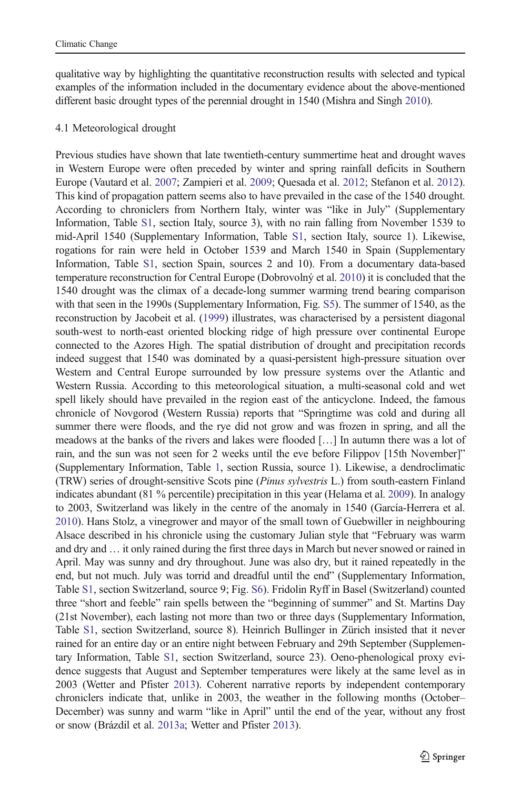qualitative way by highlighting the quantitative reconstruction results with selected and typical examples of the information included in the documentary evidence about the above-mentioned different basic drought types of the perennial drought in 1540 (Mishra and Singh [2010](#page-13-0)).

### 4.1 Meteorological drought

Previous studies have shown that late twentieth-century summertime heat and drought waves in Western Europe were often preceded by winter and spring rainfall deficits in Southern Europe (Vautard et al. [2007](#page-14-0); Zampieri et al. [2009](#page-14-0); Quesada et al. [2012;](#page-14-0) Stefanon et al. [2012](#page-14-0)). This kind of propagation pattern seems also to have prevailed in the case of the 1540 drought. According to chroniclers from Northern Italy, winter was "like in July" (Supplementary Information, Table S1, section Italy, source 3), with no rain falling from November 1539 to mid-April 1540 (Supplementary Information, Table S1, section Italy, source 1). Likewise, rogations for rain were held in October 1539 and March 1540 in Spain (Supplementary Information, Table S1, section Spain, sources 2 and 10). From a documentary data-based temperature reconstruction for Central Europe (Dobrovolný et al. [2010](#page-13-0)) it is concluded that the 1540 drought was the climax of a decade-long summer warming trend bearing comparison with that seen in the 1990s (Supplementary Information, Fig. S5). The summer of 1540, as the reconstruction by Jacobeit et al. [\(1999\)](#page-13-0) illustrates, was characterised by a persistent diagonal south-west to north-east oriented blocking ridge of high pressure over continental Europe connected to the Azores High. The spatial distribution of drought and precipitation records indeed suggest that 1540 was dominated by a quasi-persistent high-pressure situation over Western and Central Europe surrounded by low pressure systems over the Atlantic and Western Russia. According to this meteorological situation, a multi-seasonal cold and wet spell likely should have prevailed in the region east of the anticyclone. Indeed, the famous chronicle of Novgorod (Western Russia) reports that "Springtime was cold and during all summer there were floods, and the rye did not grow and was frozen in spring, and all the meadows at the banks of the rivers and lakes were flooded […] In autumn there was a lot of rain, and the sun was not seen for 2 weeks until the eve before Filippov [15th November]" (Supplementary Information, Table 1, section Russia, source 1). Likewise, a dendroclimatic (TRW) series of drought-sensitive Scots pine (Pinus sylvestris L.) from south-eastern Finland indicates abundant (81 % percentile) precipitation in this year (Helama et al. [2009\)](#page-13-0). In analogy to 2003, Switzerland was likely in the centre of the anomaly in 1540 (García-Herrera et al. [2010](#page-13-0)). Hans Stolz, a vinegrower and mayor of the small town of Guebwiller in neighbouring Alsace described in his chronicle using the customary Julian style that "February was warm and dry and … it only rained during the first three days in March but never snowed or rained in April. May was sunny and dry throughout. June was also dry, but it rained repeatedly in the end, but not much. July was torrid and dreadful until the end" (Supplementary Information, Table S1, section Switzerland, source 9; Fig. S6). Fridolin Ryff in Basel (Switzerland) counted three "short and feeble" rain spells between the "beginning of summer" and St. Martins Day (21st November), each lasting not more than two or three days (Supplementary Information, Table S1, section Switzerland, source 8). Heinrich Bullinger in Zürich insisted that it never rained for an entire day or an entire night between February and 29th September (Supplementary Information, Table S1, section Switzerland, source 23). Oeno-phenological proxy evidence suggests that August and September temperatures were likely at the same level as in 2003 (Wetter and Pfister [2013](#page-14-0)). Coherent narrative reports by independent contemporary chroniclers indicate that, unlike in 2003, the weather in the following months (October– December) was sunny and warm "like in April" until the end of the year, without any frost or snow (Brázdil et al. [2013a;](#page-12-0) Wetter and Pfister [2013\)](#page-14-0).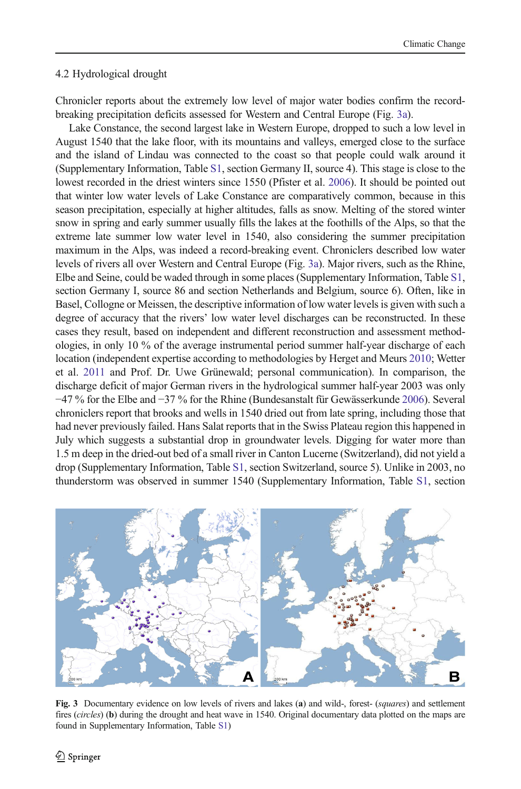#### <span id="page-9-0"></span>4.2 Hydrological drought

Chronicler reports about the extremely low level of major water bodies confirm the recordbreaking precipitation deficits assessed for Western and Central Europe (Fig. 3a).

Lake Constance, the second largest lake in Western Europe, dropped to such a low level in August 1540 that the lake floor, with its mountains and valleys, emerged close to the surface and the island of Lindau was connected to the coast so that people could walk around it (Supplementary Information, Table S1, section Germany II, source 4). This stage is close to the lowest recorded in the driest winters since 1550 (Pfister et al. [2006\)](#page-14-0). It should be pointed out that winter low water levels of Lake Constance are comparatively common, because in this season precipitation, especially at higher altitudes, falls as snow. Melting of the stored winter snow in spring and early summer usually fills the lakes at the foothills of the Alps, so that the extreme late summer low water level in 1540, also considering the summer precipitation maximum in the Alps, was indeed a record-breaking event. Chroniclers described low water levels of rivers all over Western and Central Europe (Fig. 3a). Major rivers, such as the Rhine, Elbe and Seine, could be waded through in some places (Supplementary Information, Table S1, section Germany I, source 86 and section Netherlands and Belgium, source 6). Often, like in Basel, Collogne or Meissen, the descriptive information of low water levels is given with such a degree of accuracy that the rivers' low water level discharges can be reconstructed. In these cases they result, based on independent and different reconstruction and assessment methodologies, in only 10 % of the average instrumental period summer half-year discharge of each location (independent expertise according to methodologies by Herget and Meurs [2010;](#page-13-0) Wetter et al. [2011](#page-14-0) and Prof. Dr. Uwe Grünewald; personal communication). In comparison, the discharge deficit of major German rivers in the hydrological summer half-year 2003 was only −47 % for the Elbe and −37 % for the Rhine (Bundesanstalt für Gewässerkunde [2006\)](#page-12-0). Several chroniclers report that brooks and wells in 1540 dried out from late spring, including those that had never previously failed. Hans Salat reports that in the Swiss Plateau region this happened in July which suggests a substantial drop in groundwater levels. Digging for water more than 1.5 m deep in the dried-out bed of a small river in Canton Lucerne (Switzerland), did not yield a drop (Supplementary Information, Table S1, section Switzerland, source 5). Unlike in 2003, no thunderstorm was observed in summer 1540 (Supplementary Information, Table S1, section



Fig. 3 Documentary evidence on low levels of rivers and lakes (a) and wild-, forest- (squares) and settlement fires (circles) (b) during the drought and heat wave in 1540. Original documentary data plotted on the maps are found in Supplementary Information, Table S1)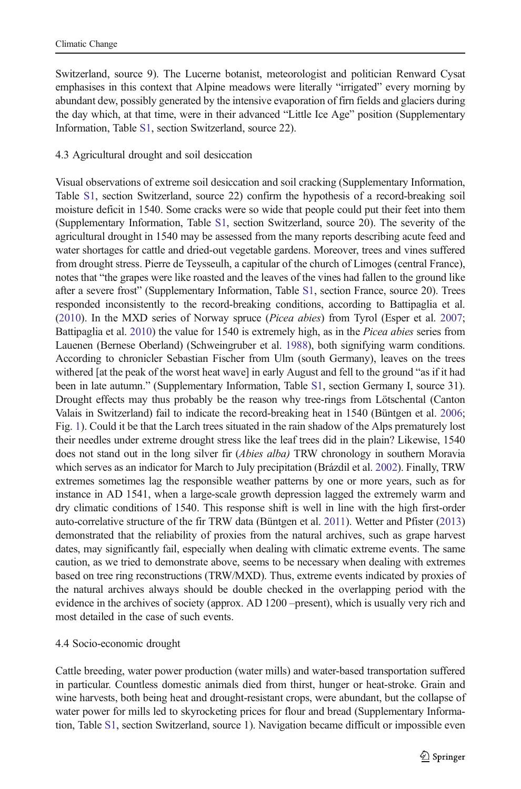Switzerland, source 9). The Lucerne botanist, meteorologist and politician Renward Cysat emphasises in this context that Alpine meadows were literally "irrigated" every morning by abundant dew, possibly generated by the intensive evaporation of firn fields and glaciers during the day which, at that time, were in their advanced "Little Ice Age" position (Supplementary Information, Table S1, section Switzerland, source 22).

## 4.3 Agricultural drought and soil desiccation

Visual observations of extreme soil desiccation and soil cracking (Supplementary Information, Table S1, section Switzerland, source 22) confirm the hypothesis of a record-breaking soil moisture deficit in 1540. Some cracks were so wide that people could put their feet into them (Supplementary Information, Table S1, section Switzerland, source 20). The severity of the agricultural drought in 1540 may be assessed from the many reports describing acute feed and water shortages for cattle and dried-out vegetable gardens. Moreover, trees and vines suffered from drought stress. Pierre de Teysseulh, a capitular of the church of Limoges (central France), notes that "the grapes were like roasted and the leaves of the vines had fallen to the ground like after a severe frost" (Supplementary Information, Table S1, section France, source 20). Trees responded inconsistently to the record-breaking conditions, according to Battipaglia et al. ([2010](#page-12-0)). In the MXD series of Norway spruce (Picea abies) from Tyrol (Esper et al. [2007](#page-13-0); Battipaglia et al. [2010](#page-12-0)) the value for 1540 is extremely high, as in the Picea abies series from Lauenen (Bernese Oberland) (Schweingruber et al. [1988\)](#page-14-0), both signifying warm conditions. According to chronicler Sebastian Fischer from Ulm (south Germany), leaves on the trees withered [at the peak of the worst heat wave] in early August and fell to the ground "as if it had been in late autumn." (Supplementary Information, Table S1, section Germany I, source 31). Drought effects may thus probably be the reason why tree-rings from Lötschental (Canton Valais in Switzerland) fail to indicate the record-breaking heat in 1540 (Büntgen et al. [2006](#page-12-0); Fig. [1](#page-4-0)). Could it be that the Larch trees situated in the rain shadow of the Alps prematurely lost their needles under extreme drought stress like the leaf trees did in the plain? Likewise, 1540 does not stand out in the long silver fir (Abies alba) TRW chronology in southern Moravia which serves as an indicator for March to July precipitation (Brázdil et al. [2002](#page-12-0)). Finally, TRW extremes sometimes lag the responsible weather patterns by one or more years, such as for instance in AD 1541, when a large-scale growth depression lagged the extremely warm and dry climatic conditions of 1540. This response shift is well in line with the high first-order auto-correlative structure of the fir TRW data (Büntgen et al. [2011\)](#page-12-0). Wetter and Pfister [\(2013\)](#page-14-0) demonstrated that the reliability of proxies from the natural archives, such as grape harvest dates, may significantly fail, especially when dealing with climatic extreme events. The same caution, as we tried to demonstrate above, seems to be necessary when dealing with extremes based on tree ring reconstructions (TRW/MXD). Thus, extreme events indicated by proxies of the natural archives always should be double checked in the overlapping period with the evidence in the archives of society (approx. AD 1200 –present), which is usually very rich and most detailed in the case of such events.

## 4.4 Socio-economic drought

Cattle breeding, water power production (water mills) and water-based transportation suffered in particular. Countless domestic animals died from thirst, hunger or heat-stroke. Grain and wine harvests, both being heat and drought-resistant crops, were abundant, but the collapse of water power for mills led to skyrocketing prices for flour and bread (Supplementary Information, Table S1, section Switzerland, source 1). Navigation became difficult or impossible even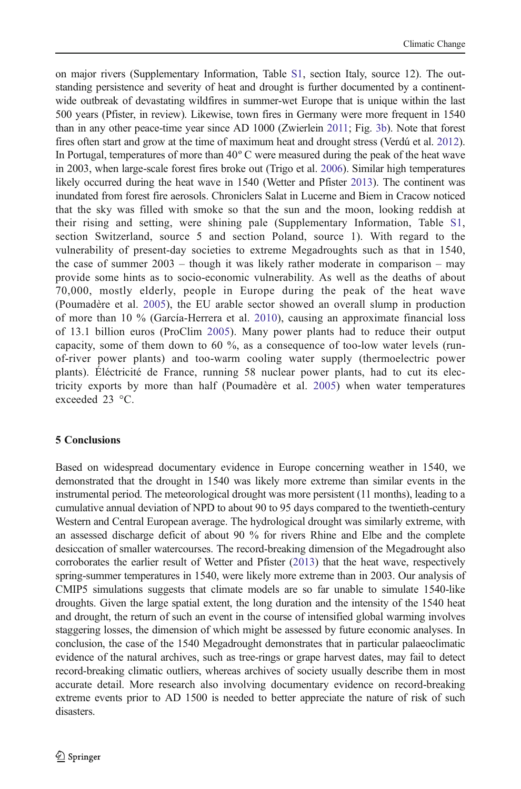on major rivers (Supplementary Information, Table S1, section Italy, source 12). The outstanding persistence and severity of heat and drought is further documented by a continentwide outbreak of devastating wildfires in summer-wet Europe that is unique within the last 500 years (Pfister, in review). Likewise, town fires in Germany were more frequent in 1540 than in any other peace-time year since AD 1000 (Zwierlein [2011](#page-14-0); Fig. [3b](#page-9-0)). Note that forest fires often start and grow at the time of maximum heat and drought stress (Verdú et al. [2012](#page-14-0)). In Portugal, temperatures of more than 40º C were measured during the peak of the heat wave in 2003, when large-scale forest fires broke out (Trigo et al. [2006](#page-14-0)). Similar high temperatures likely occurred during the heat wave in 1540 (Wetter and Pfister [2013](#page-14-0)). The continent was inundated from forest fire aerosols. Chroniclers Salat in Lucerne and Biem in Cracow noticed that the sky was filled with smoke so that the sun and the moon, looking reddish at their rising and setting, were shining pale (Supplementary Information, Table S1, section Switzerland, source 5 and section Poland, source 1). With regard to the vulnerability of present-day societies to extreme Megadroughts such as that in 1540, the case of summer 2003 – though it was likely rather moderate in comparison – may provide some hints as to socio-economic vulnerability. As well as the deaths of about 70,000, mostly elderly, people in Europe during the peak of the heat wave (Poumadère et al. [2005](#page-14-0)), the EU arable sector showed an overall slump in production of more than 10 % (García-Herrera et al. [2010](#page-13-0)), causing an approximate financial loss of 13.1 billion euros (ProClim [2005](#page-14-0)). Many power plants had to reduce their output capacity, some of them down to 60 %, as a consequence of too-low water levels (runof-river power plants) and too-warm cooling water supply (thermoelectric power plants). Éléctricité de France, running 58 nuclear power plants, had to cut its electricity exports by more than half (Poumadère et al. [2005\)](#page-14-0) when water temperatures exceeded 23 °C.

#### 5 Conclusions

Based on widespread documentary evidence in Europe concerning weather in 1540, we demonstrated that the drought in 1540 was likely more extreme than similar events in the instrumental period. The meteorological drought was more persistent (11 months), leading to a cumulative annual deviation of NPD to about 90 to 95 days compared to the twentieth-century Western and Central European average. The hydrological drought was similarly extreme, with an assessed discharge deficit of about 90 % for rivers Rhine and Elbe and the complete desiccation of smaller watercourses. The record-breaking dimension of the Megadrought also corroborates the earlier result of Wetter and Pfister [\(2013\)](#page-14-0) that the heat wave, respectively spring-summer temperatures in 1540, were likely more extreme than in 2003. Our analysis of CMIP5 simulations suggests that climate models are so far unable to simulate 1540-like droughts. Given the large spatial extent, the long duration and the intensity of the 1540 heat and drought, the return of such an event in the course of intensified global warming involves staggering losses, the dimension of which might be assessed by future economic analyses. In conclusion, the case of the 1540 Megadrought demonstrates that in particular palaeoclimatic evidence of the natural archives, such as tree-rings or grape harvest dates, may fail to detect record-breaking climatic outliers, whereas archives of society usually describe them in most accurate detail. More research also involving documentary evidence on record-breaking extreme events prior to AD 1500 is needed to better appreciate the nature of risk of such disasters.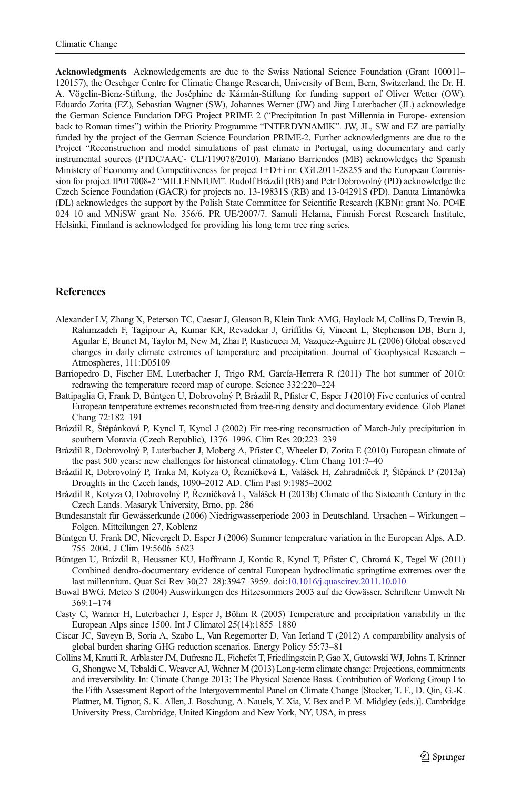<span id="page-12-0"></span>Acknowledgments Acknowledgements are due to the Swiss National Science Foundation (Grant 100011– 120157), the Oeschger Centre for Climatic Change Research, University of Bern, Bern, Switzerland, the Dr. H. A. Vögelin-Bienz-Stiftung, the Joséphine de Kármán-Stiftung for funding support of Oliver Wetter (OW). Eduardo Zorita (EZ), Sebastian Wagner (SW), Johannes Werner (JW) and Jürg Luterbacher (JL) acknowledge the German Science Fundation DFG Project PRIME 2 ("Precipitation In past Millennia in Europe- extension back to Roman times") within the Priority Programme "INTERDYNAMIK". JW, JL, SW and EZ are partially funded by the project of the German Science Foundation PRIME-2. Further acknowledgments are due to the Project "Reconstruction and model simulations of past climate in Portugal, using documentary and early instrumental sources (PTDC/AAC- CLI/119078/2010). Mariano Barriendos (MB) acknowledges the Spanish Ministery of Economy and Competitiveness for project I+D+i nr. CGL2011-28255 and the European Commission for project IP017008-2 "MILLENNIUM". Rudolf Brázdil (RB) and Petr Dobrovolný (PD) acknowledge the Czech Science Foundation (GACR) for projects no. 13-19831S (RB) and 13-04291S (PD). Danuta Limanówka (DL) acknowledges the support by the Polish State Committee for Scientific Research (KBN): grant No. PO4E 024 10 and MNiSW grant No. 356/6. PR UE/2007/7. Samuli Helama, Finnish Forest Research Institute, Helsinki, Finnland is acknowledged for providing his long term tree ring series.

#### **References**

- Alexander LV, Zhang X, Peterson TC, Caesar J, Gleason B, Klein Tank AMG, Haylock M, Collins D, Trewin B, Rahimzadeh F, Tagipour A, Kumar KR, Revadekar J, Griffiths G, Vincent L, Stephenson DB, Burn J, Aguilar E, Brunet M, Taylor M, New M, Zhai P, Rusticucci M, Vazquez-Aguirre JL (2006) Global observed changes in daily climate extremes of temperature and precipitation. Journal of Geophysical Research – Atmospheres, 111:D05109
- Barriopedro D, Fischer EM, Luterbacher J, Trigo RM, García-Herrera R (2011) The hot summer of 2010: redrawing the temperature record map of europe. Science 332:220–224
- Battipaglia G, Frank D, Büntgen U, Dobrovolný P, Brázdil R, Pfister C, Esper J (2010) Five centuries of central European temperature extremes reconstructed from tree-ring density and documentary evidence. Glob Planet Chang 72:182–191
- Brázdil R, Štěpánková P, Kyncl T, Kyncl J (2002) Fir tree-ring reconstruction of March-July precipitation in southern Moravia (Czech Republic), 1376–1996. Clim Res 20:223–239
- Brázdil R, Dobrovolný P, Luterbacher J, Moberg A, Pfister C, Wheeler D, Zorita E (2010) European climate of the past 500 years: new challenges for historical climatology. Clim Chang 101:7–40
- Brázdil R, Dobrovolný P, Trnka M, Kotyza O, Řezníčková L, Valášek H, Zahradníček P, Štěpánek P (2013a) Droughts in the Czech lands, 1090–2012 AD. Clim Past 9:1985–2002
- Brázdil R, Kotyza O, Dobrovolný P, Řezníčková L, Valášek H (2013b) Climate of the Sixteenth Century in the Czech Lands. Masaryk University, Brno, pp. 286
- Bundesanstalt für Gewässerkunde (2006) Niedrigwasserperiode 2003 in Deutschland. Ursachen Wirkungen Folgen. Mitteilungen 27, Koblenz
- Büntgen U, Frank DC, Nievergelt D, Esper J (2006) Summer temperature variation in the European Alps, A.D. 755–2004. J Clim 19:5606–5623
- Büntgen U, Brázdil R, Heussner KU, Hoffmann J, Kontic R, Kyncl T, Pfister C, Chromá K, Tegel W (2011) Combined dendro-documentary evidence of central European hydroclimatic springtime extremes over the last millennium. Quat Sci Rev 30(27–28):3947–3959. doi[:10.1016/j.quascirev.2011.10.010](http://dx.doi.org/10.1016/j.quascirev.2011.10.010)
- Buwal BWG, Meteo S (2004) Auswirkungen des Hitzesommers 2003 auf die Gewässer. Schriftenr Umwelt Nr 369:1–174
- Casty C, Wanner H, Luterbacher J, Esper J, Böhm R (2005) Temperature and precipitation variability in the European Alps since 1500. Int J Climatol 25(14):1855–1880
- Ciscar JC, Saveyn B, Soria A, Szabo L, Van Regemorter D, Van Ierland T (2012) A comparability analysis of global burden sharing GHG reduction scenarios. Energy Policy 55:73–81
- Collins M, Knutti R, Arblaster JM, Dufresne JL, Fichefet T, Friedlingstein P, Gao X, Gutowski WJ, Johns T, Krinner G, Shongwe M, Tebaldi C, Weaver AJ, Wehner M (2013) Long-term climate change: Projections, commitments and irreversibility. In: Climate Change 2013: The Physical Science Basis. Contribution of Working Group I to the Fifth Assessment Report of the Intergovernmental Panel on Climate Change [Stocker, T. F., D. Qin, G.-K. Plattner, M. Tignor, S. K. Allen, J. Boschung, A. Nauels, Y. Xia, V. Bex and P. M. Midgley (eds.)]. Cambridge University Press, Cambridge, United Kingdom and New York, NY, USA, in press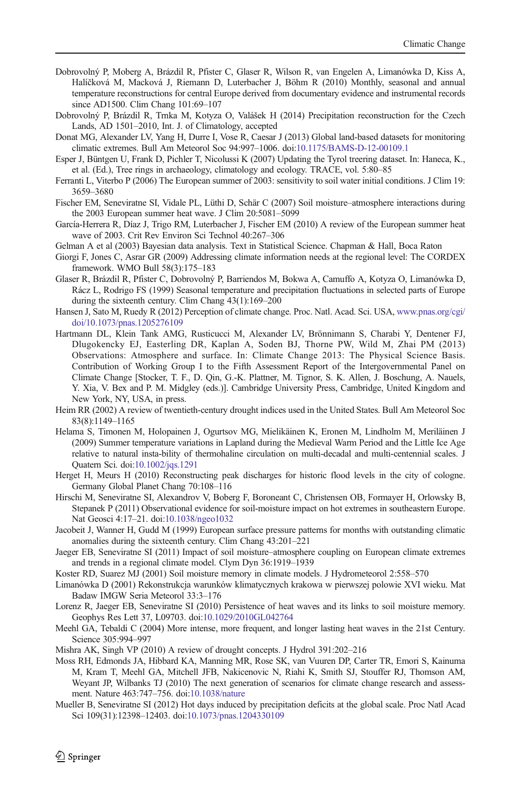- <span id="page-13-0"></span>Dobrovolný P, Moberg A, Brázdil R, Pfister C, Glaser R, Wilson R, van Engelen A, Limanówka D, Kiss A, Halíčková M, Macková J, Riemann D, Luterbacher J, Böhm R (2010) Monthly, seasonal and annual temperature reconstructions for central Europe derived from documentary evidence and instrumental records since AD1500. Clim Chang 101:69–107
- Dobrovolný P, Brázdil R, Trnka M, Kotyza O, Valášek H (2014) Precipitation reconstruction for the Czech Lands, AD 1501–2010, Int. J. of Climatology, accepted
- Donat MG, Alexander LV, Yang H, Durre I, Vose R, Caesar J (2013) Global land-based datasets for monitoring climatic extremes. Bull Am Meteorol Soc 94:997–1006. doi[:10.1175/BAMS-D-12-00109.1](http://dx.doi.org/10.1175/BAMS-D-12-00109.1)
- Esper J, Büntgen U, Frank D, Pichler T, Nicolussi K (2007) Updating the Tyrol treering dataset. In: Haneca, K., et al. (Ed.), Tree rings in archaeology, climatology and ecology. TRACE, vol. 5:80–85
- Ferranti L, Viterbo P (2006) The European summer of 2003: sensitivity to soil water initial conditions. J Clim 19: 3659–3680
- Fischer EM, Seneviratne SI, Vidale PL, Lüthi D, Schär C (2007) Soil moisture–atmosphere interactions during the 2003 European summer heat wave. J Clim 20:5081–5099
- García-Herrera R, Díaz J, Trigo RM, Luterbacher J, Fischer EM (2010) A review of the European summer heat wave of 2003. Crit Rev Environ Sci Technol 40:267–306
- Gelman A et al (2003) Bayesian data analysis. Text in Statistical Science. Chapman & Hall, Boca Raton
- Giorgi F, Jones C, Asrar GR (2009) Addressing climate information needs at the regional level: The CORDEX framework. WMO Bull 58(3):175–183
- Glaser R, Brázdil R, Pfister C, Dobrovolný P, Barriendos M, Bokwa A, Camuffo A, Kotyza O, Limanówka D, Rácz L, Rodrigo FS (1999) Seasonal temperature and precipitation fluctuations in selected parts of Europe during the sixteenth century. Clim Chang 43(1):169–200
- Hansen J, Sato M, Ruedy R (2012) Perception of climate change. Proc. Natl. Acad. Sci. USA, [www.pnas.org/cgi/](http://www.pnas.org/cgi/doi/10.1073/pnas.1205276109) [doi/10.1073/pnas.1205276109](http://www.pnas.org/cgi/doi/10.1073/pnas.1205276109)
- Hartmann DL, Klein Tank AMG, Rusticucci M, Alexander LV, Brönnimann S, Charabi Y, Dentener FJ, Dlugokencky EJ, Easterling DR, Kaplan A, Soden BJ, Thorne PW, Wild M, Zhai PM (2013) Observations: Atmosphere and surface. In: Climate Change 2013: The Physical Science Basis. Contribution of Working Group I to the Fifth Assessment Report of the Intergovernmental Panel on Climate Change [Stocker, T. F., D. Qin, G.-K. Plattner, M. Tignor, S. K. Allen, J. Boschung, A. Nauels, Y. Xia, V. Bex and P. M. Midgley (eds.)]. Cambridge University Press, Cambridge, United Kingdom and New York, NY, USA, in press.
- Heim RR (2002) A review of twentieth-century drought indices used in the United States. Bull Am Meteorol Soc 83(8):1149–1165
- Helama S, Timonen M, Holopainen J, Ogurtsov MG, Mielikäinen K, Eronen M, Lindholm M, Meriläinen J (2009) Summer temperature variations in Lapland during the Medieval Warm Period and the Little Ice Age relative to natural insta-bility of thermohaline circulation on multi-decadal and multi-centennial scales. J Quatern Sci. doi:[10.1002/jqs.1291](http://dx.doi.org/10.1002/jqs.1291)
- Herget H, Meurs H (2010) Reconstructing peak discharges for historic flood levels in the city of cologne. Germany Global Planet Chang 70:108–116
- Hirschi M, Seneviratne SI, Alexandrov V, Boberg F, Boroneant C, Christensen OB, Formayer H, Orlowsky B, Stepanek P (2011) Observational evidence for soil-moisture impact on hot extremes in southeastern Europe. Nat Geosci 4:17–21. doi[:10.1038/ngeo1032](http://dx.doi.org/10.1038/ngeo1032)
- Jacobeit J, Wanner H, Gudd M (1999) European surface pressure patterns for months with outstanding climatic anomalies during the sixteenth century. Clim Chang 43:201–221
- Jaeger EB, Seneviratne SI (2011) Impact of soil moisture–atmosphere coupling on European climate extremes and trends in a regional climate model. Clym Dyn 36:1919–1939
- Koster RD, Suarez MJ (2001) Soil moisture memory in climate models. J Hydrometeorol 2:558–570
- Limanówka D (2001) Rekonstrukcja warunków klimatycznych krakowa w pierwszej polowie XVI wieku. Mat Badaw IMGW Seria Meteorol 33:3–176
- Lorenz R, Jaeger EB, Seneviratne SI (2010) Persistence of heat waves and its links to soil moisture memory. Geophys Res Lett 37, L09703. doi[:10.1029/2010GL042764](http://dx.doi.org/10.1029/2010GL042764)
- Meehl GA, Tebaldi C (2004) More intense, more frequent, and longer lasting heat waves in the 21st Century. Science 305:994–997
- Mishra AK, Singh VP (2010) A review of drought concepts. J Hydrol 391:202–216
- Moss RH, Edmonds JA, Hibbard KA, Manning MR, Rose SK, van Vuuren DP, Carter TR, Emori S, Kainuma M, Kram T, Meehl GA, Mitchell JFB, Nakicenovic N, Riahi K, Smith SJ, Stouffer RJ, Thomson AM, Weyant JP, Wilbanks TJ (2010) The next generation of scenarios for climate change research and assessment. Nature 463:747–756. doi[:10.1038/nature](http://dx.doi.org/10.1038/nature)
- Mueller B, Seneviratne SI (2012) Hot days induced by precipitation deficits at the global scale. Proc Natl Acad Sci 109(31):12398–12403. doi[:10.1073/pnas.1204330109](http://dx.doi.org/10.1073/pnas.1204330109)